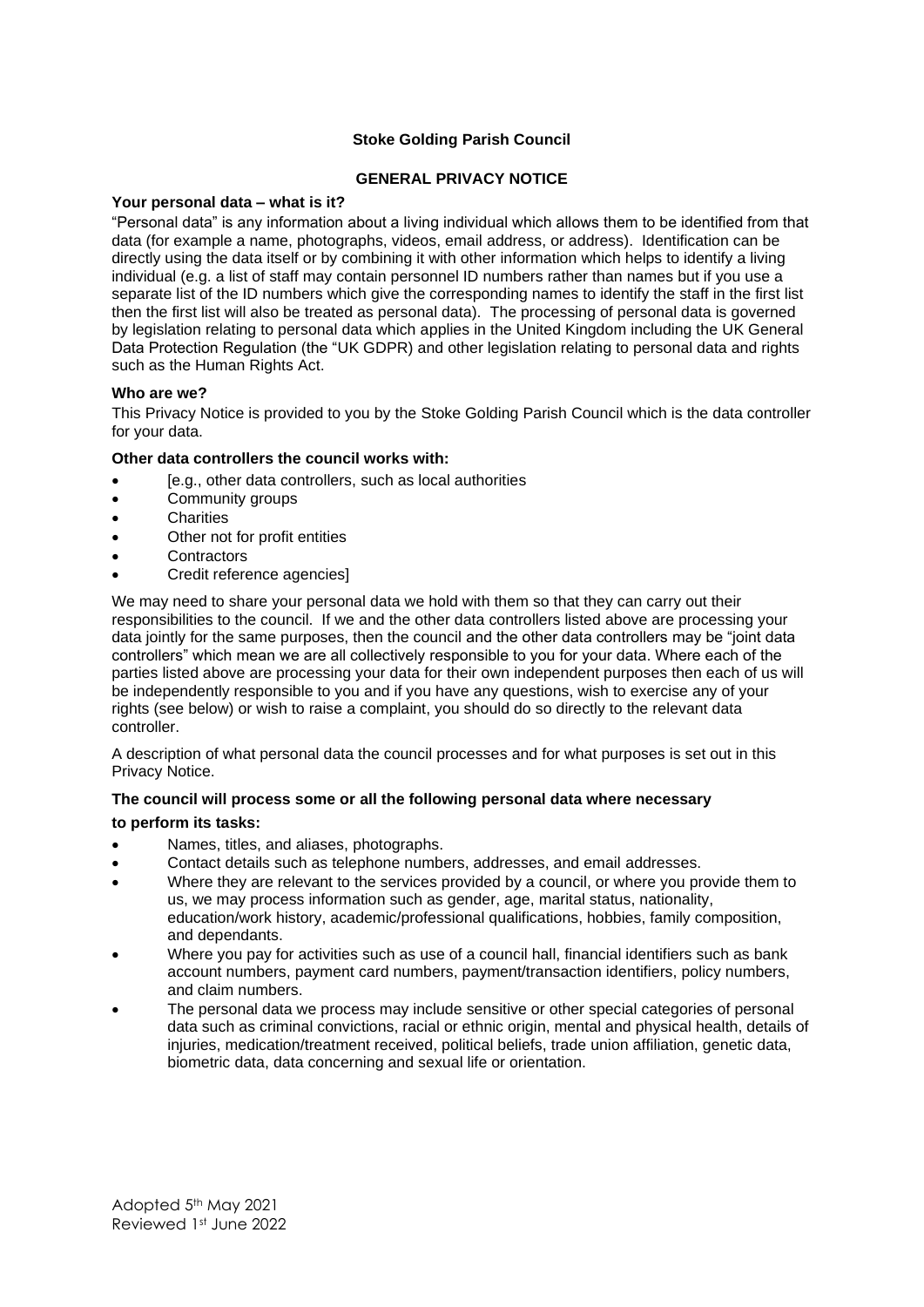# **Stoke Golding Parish Council**

# **GENERAL PRIVACY NOTICE**

#### **Your personal data – what is it?**

"Personal data" is any information about a living individual which allows them to be identified from that data (for example a name, photographs, videos, email address, or address). Identification can be directly using the data itself or by combining it with other information which helps to identify a living individual (e.g. a list of staff may contain personnel ID numbers rather than names but if you use a separate list of the ID numbers which give the corresponding names to identify the staff in the first list then the first list will also be treated as personal data). The processing of personal data is governed by legislation relating to personal data which applies in the United Kingdom including the UK General Data Protection Regulation (the "UK GDPR) and other legislation relating to personal data and rights such as the Human Rights Act.

#### **Who are we?**

This Privacy Notice is provided to you by the Stoke Golding Parish Council which is the data controller for your data.

#### **Other data controllers the council works with:**

- [e.g., other data controllers, such as local authorities
- Community groups
- **Charities**
- Other not for profit entities
- **Contractors**
- Credit reference agencies1

We may need to share your personal data we hold with them so that they can carry out their responsibilities to the council. If we and the other data controllers listed above are processing your data jointly for the same purposes, then the council and the other data controllers may be "joint data controllers" which mean we are all collectively responsible to you for your data. Where each of the parties listed above are processing your data for their own independent purposes then each of us will be independently responsible to you and if you have any questions, wish to exercise any of your rights (see below) or wish to raise a complaint, you should do so directly to the relevant data controller.

A description of what personal data the council processes and for what purposes is set out in this Privacy Notice.

# **The council will process some or all the following personal data where necessary**

#### **to perform its tasks:**

- Names, titles, and aliases, photographs.
- Contact details such as telephone numbers, addresses, and email addresses.
- Where they are relevant to the services provided by a council, or where you provide them to us, we may process information such as gender, age, marital status, nationality, education/work history, academic/professional qualifications, hobbies, family composition, and dependants.
- Where you pay for activities such as use of a council hall, financial identifiers such as bank account numbers, payment card numbers, payment/transaction identifiers, policy numbers, and claim numbers.
- The personal data we process may include sensitive or other special categories of personal data such as criminal convictions, racial or ethnic origin, mental and physical health, details of injuries, medication/treatment received, political beliefs, trade union affiliation, genetic data, biometric data, data concerning and sexual life or orientation.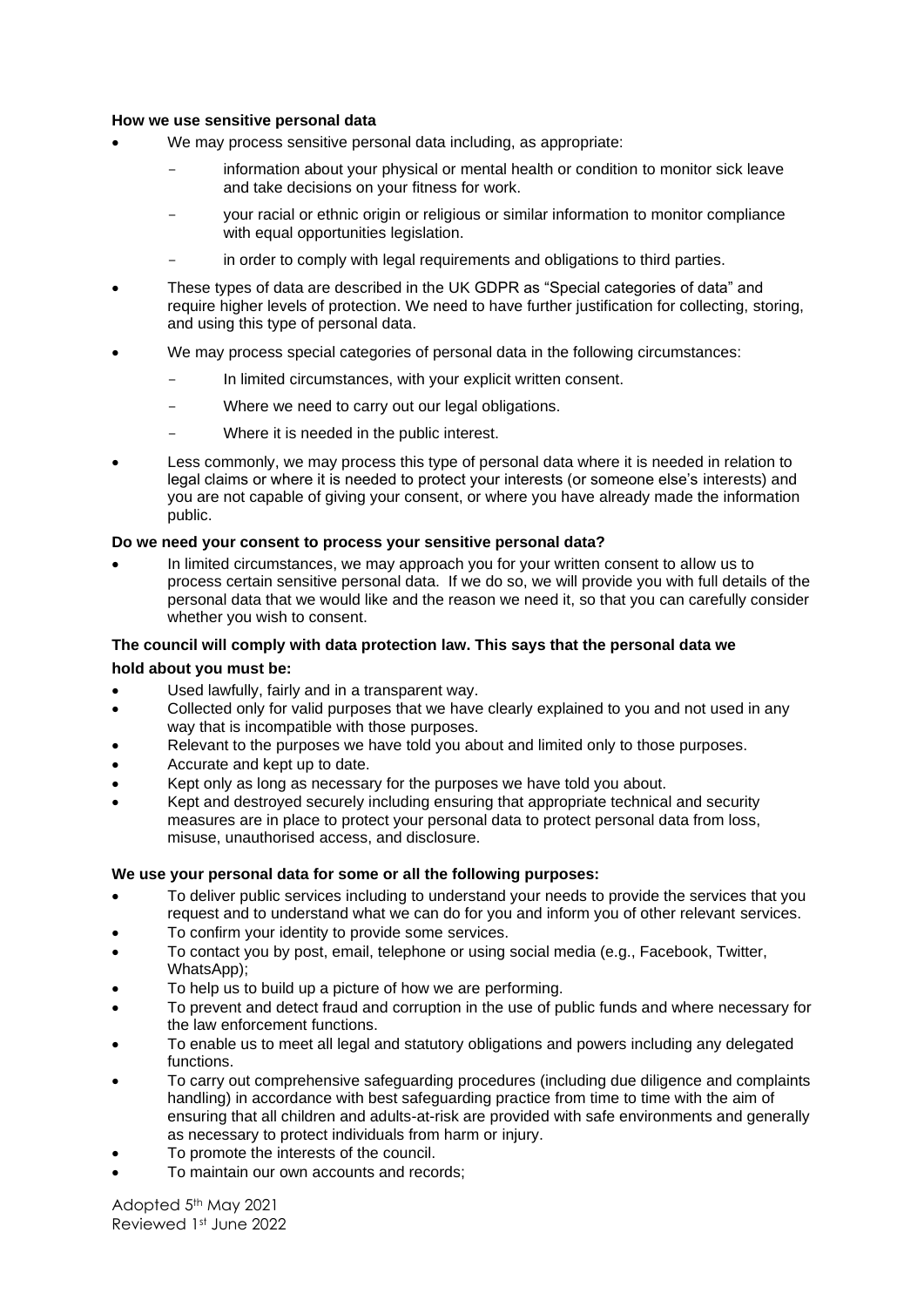#### **How we use sensitive personal data**

- We may process sensitive personal data including, as appropriate:
	- information about your physical or mental health or condition to monitor sick leave and take decisions on your fitness for work.
	- your racial or ethnic origin or religious or similar information to monitor compliance with equal opportunities legislation.
	- in order to comply with legal requirements and obligations to third parties.
- These types of data are described in the UK GDPR as "Special categories of data" and require higher levels of protection. We need to have further justification for collecting, storing, and using this type of personal data.
- We may process special categories of personal data in the following circumstances:
	- In limited circumstances, with your explicit written consent.
	- Where we need to carry out our legal obligations.
	- Where it is needed in the public interest.
- Less commonly, we may process this type of personal data where it is needed in relation to legal claims or where it is needed to protect your interests (or someone else's interests) and you are not capable of giving your consent, or where you have already made the information public.

#### **Do we need your consent to process your sensitive personal data?**

• In limited circumstances, we may approach you for your written consent to allow us to process certain sensitive personal data. If we do so, we will provide you with full details of the personal data that we would like and the reason we need it, so that you can carefully consider whether you wish to consent.

# **The council will comply with data protection law. This says that the personal data we**

#### **hold about you must be:**

- Used lawfully, fairly and in a transparent way.
- Collected only for valid purposes that we have clearly explained to you and not used in any way that is incompatible with those purposes.
- Relevant to the purposes we have told you about and limited only to those purposes.
- Accurate and kept up to date.
- Kept only as long as necessary for the purposes we have told you about.
- Kept and destroyed securely including ensuring that appropriate technical and security measures are in place to protect your personal data to protect personal data from loss, misuse, unauthorised access, and disclosure.

# **We use your personal data for some or all the following purposes:**

- To deliver public services including to understand your needs to provide the services that you request and to understand what we can do for you and inform you of other relevant services.
- To confirm your identity to provide some services.
- To contact you by post, email, telephone or using social media (e.g., Facebook, Twitter, WhatsApp);
- To help us to build up a picture of how we are performing.
- To prevent and detect fraud and corruption in the use of public funds and where necessary for the law enforcement functions.
- To enable us to meet all legal and statutory obligations and powers including any delegated functions.
- To carry out comprehensive safeguarding procedures (including due diligence and complaints handling) in accordance with best safeguarding practice from time to time with the aim of ensuring that all children and adults-at-risk are provided with safe environments and generally as necessary to protect individuals from harm or injury.
- To promote the interests of the council.
- To maintain our own accounts and records;

Adopted 5th May 2021 Reviewed 1st June 2022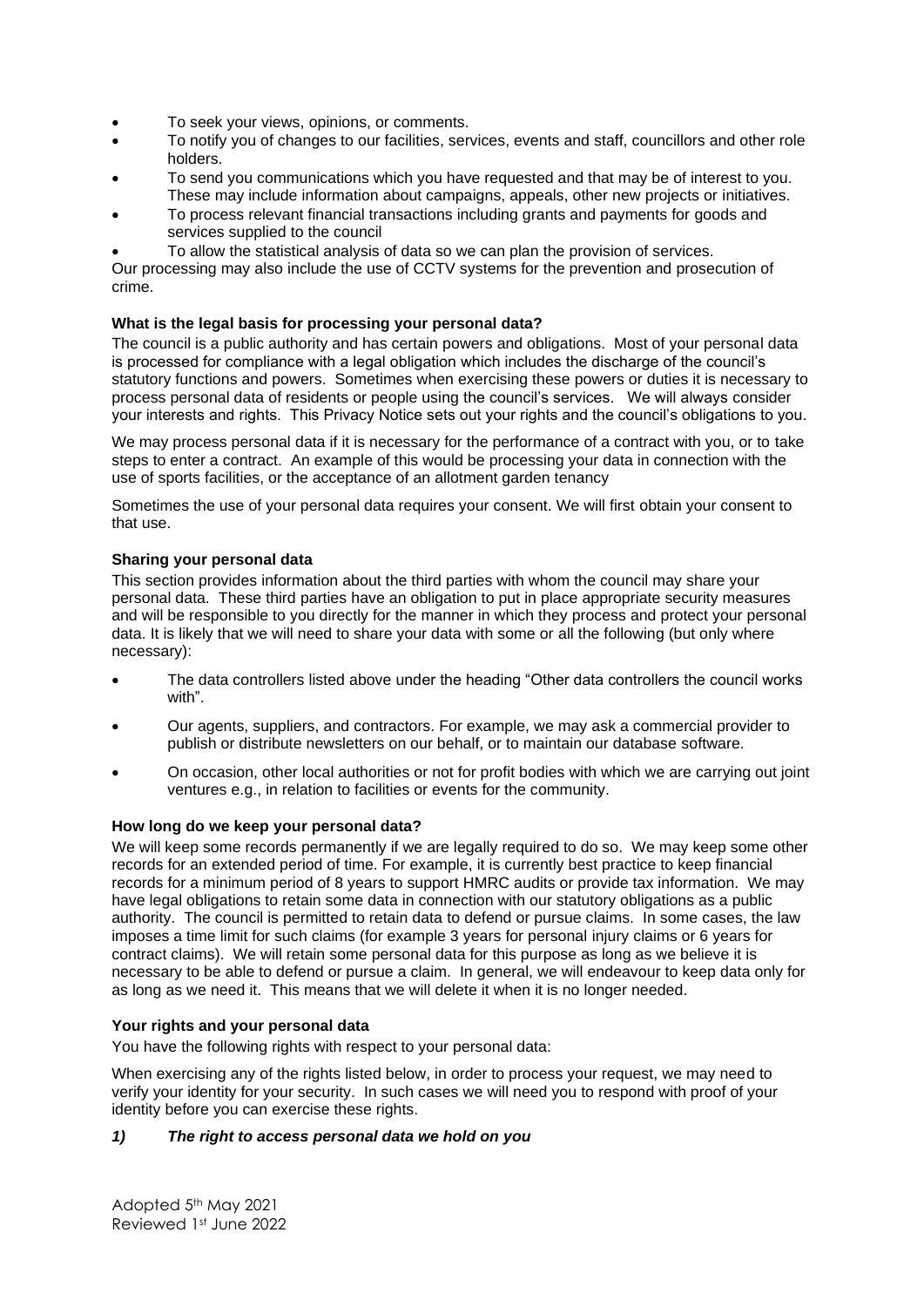- To seek your views, opinions, or comments.
- To notify you of changes to our facilities, services, events and staff, councillors and other role holders.
- To send you communications which you have requested and that may be of interest to you. These may include information about campaigns, appeals, other new projects or initiatives.
- To process relevant financial transactions including grants and payments for goods and services supplied to the council
- To allow the statistical analysis of data so we can plan the provision of services.

Our processing may also include the use of CCTV systems for the prevention and prosecution of crime.

# **What is the legal basis for processing your personal data?**

The council is a public authority and has certain powers and obligations. Most of your personal data is processed for compliance with a legal obligation which includes the discharge of the council's statutory functions and powers. Sometimes when exercising these powers or duties it is necessary to process personal data of residents or people using the council's services. We will always consider your interests and rights. This Privacy Notice sets out your rights and the council's obligations to you.

We may process personal data if it is necessary for the performance of a contract with you, or to take steps to enter a contract. An example of this would be processing your data in connection with the use of sports facilities, or the acceptance of an allotment garden tenancy

Sometimes the use of your personal data requires your consent. We will first obtain your consent to that use.

# **Sharing your personal data**

This section provides information about the third parties with whom the council may share your personal data. These third parties have an obligation to put in place appropriate security measures and will be responsible to you directly for the manner in which they process and protect your personal data. It is likely that we will need to share your data with some or all the following (but only where necessary):

- The data controllers listed above under the heading "Other data controllers the council works with".
- Our agents, suppliers, and contractors. For example, we may ask a commercial provider to publish or distribute newsletters on our behalf, or to maintain our database software.
- On occasion, other local authorities or not for profit bodies with which we are carrying out joint ventures e.g., in relation to facilities or events for the community.

# **How long do we keep your personal data?**

We will keep some records permanently if we are legally required to do so. We may keep some other records for an extended period of time. For example, it is currently best practice to keep financial records for a minimum period of 8 years to support HMRC audits or provide tax information. We may have legal obligations to retain some data in connection with our statutory obligations as a public authority. The council is permitted to retain data to defend or pursue claims. In some cases, the law imposes a time limit for such claims (for example 3 years for personal injury claims or 6 years for contract claims). We will retain some personal data for this purpose as long as we believe it is necessary to be able to defend or pursue a claim. In general, we will endeavour to keep data only for as long as we need it. This means that we will delete it when it is no longer needed.

# **Your rights and your personal data**

You have the following rights with respect to your personal data:

When exercising any of the rights listed below, in order to process your request, we may need to verify your identity for your security. In such cases we will need you to respond with proof of your identity before you can exercise these rights.

# *1) The right to access personal data we hold on you*

Adopted 5th May 2021 Reviewed 1st June 2022